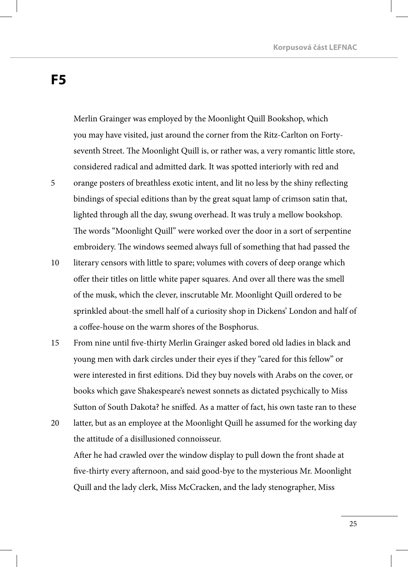## **F5**

5

Merlin Grainger was employed by the Moonlight Quill Bookshop, which you may have visited, just around the corner from the Ritz-Carlton on Fortyseventh Street. The Moonlight Quill is, or rather was, a very romantic little store, considered radical and admitted dark. It was spotted interiorly with red and orange posters of breathless exotic intent, and lit no less by the shiny reflecting bindings of special editions than by the great squat lamp of crimson satin that, lighted through all the day, swung overhead. It was truly a mellow bookshop. The words "Moonlight Quill" were worked over the door in a sort of serpentine embroidery. The windows seemed always full of something that had passed the

- literary censors with little to spare; volumes with covers of deep orange which offer their titles on little white paper squares. And over all there was the smell of the musk, which the clever, inscrutable Mr. Moonlight Quill ordered to be sprinkled about-the smell half of a curiosity shop in Dickens' London and half of a coffee-house on the warm shores of the Bosphorus. 10
- From nine until five-thirty Merlin Grainger asked bored old ladies in black and young men with dark circles under their eyes if they "cared for this fellow" or were interested in first editions. Did they buy novels with Arabs on the cover, or books which gave Shakespeare's newest sonnets as dictated psychically to Miss Sutton of South Dakota? he sniffed. As a matter of fact, his own taste ran to these 15
- latter, but as an employee at the Moonlight Quill he assumed for the working day the attitude of a disillusioned connoisseur. 20

After he had crawled over the window display to pull down the front shade at five-thirty every afternoon, and said good-bye to the mysterious Mr. Moonlight Quill and the lady clerk, Miss McCracken, and the lady stenographer, Miss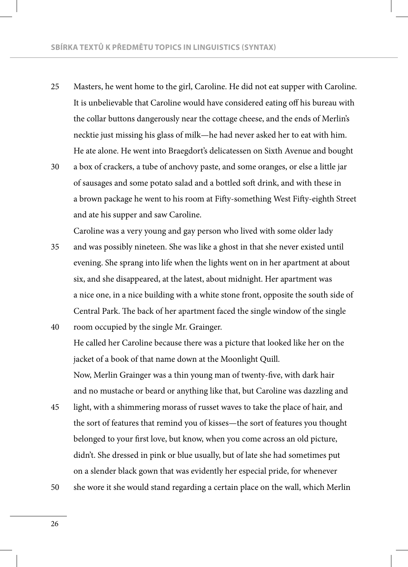- Masters, he went home to the girl, Caroline. He did not eat supper with Caroline. It is unbelievable that Caroline would have considered eating off his bureau with the collar buttons dangerously near the cottage cheese, and the ends of Merlin's necktie just missing his glass of milk—he had never asked her to eat with him. He ate alone. He went into Braegdort's delicatessen on Sixth Avenue and bought 25
- a box of crackers, a tube of anchovy paste, and some oranges, or else a little jar of sausages and some potato salad and a bottled soft drink, and with these in a brown package he went to his room at Fifty-something West Fifty-eighth Street and ate his supper and saw Caroline. 30

Caroline was a very young and gay person who lived with some older lady

- and was possibly nineteen. She was like a ghost in that she never existed until evening. She sprang into life when the lights went on in her apartment at about six, and she disappeared, at the latest, about midnight. Her apartment was a nice one, in a nice building with a white stone front, opposite the south side of Central Park. The back of her apartment faced the single window of the single 35
- room occupied by the single Mr. Grainger. He called her Caroline because there was a picture that looked like her on the jacket of a book of that name down at the Moonlight Quill. Now, Merlin Grainger was a thin young man of twenty-five, with dark hair and no mustache or beard or anything like that, but Caroline was dazzling and 40
- light, with a shimmering morass of russet waves to take the place of hair, and the sort of features that remind you of kisses—the sort of features you thought belonged to your first love, but know, when you come across an old picture, didn't. She dressed in pink or blue usually, but of late she had sometimes put on a slender black gown that was evidently her especial pride, for whenever 45
- she wore it she would stand regarding a certain place on the wall, which Merlin 50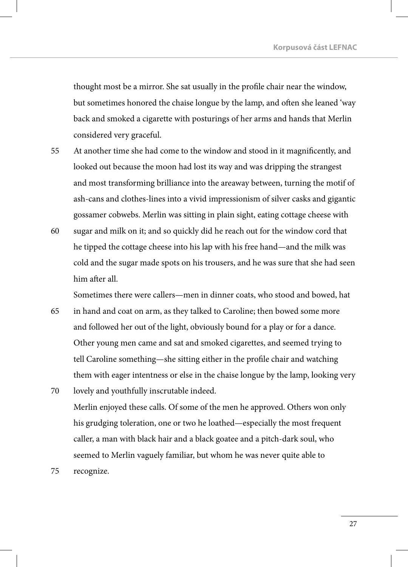thought most be a mirror. She sat usually in the profile chair near the window, but sometimes honored the chaise longue by the lamp, and often she leaned 'way back and smoked a cigarette with posturings of her arms and hands that Merlin considered very graceful.

- At another time she had come to the window and stood in it magnificently, and looked out because the moon had lost its way and was dripping the strangest and most transforming brilliance into the areaway between, turning the motif of ash-cans and clothes-lines into a vivid impressionism of silver casks and gigantic gossamer cobwebs. Merlin was sitting in plain sight, eating cottage cheese with 55
- sugar and milk on it; and so quickly did he reach out for the window cord that he tipped the cottage cheese into his lap with his free hand—and the milk was cold and the sugar made spots on his trousers, and he was sure that she had seen him after all. 60

Sometimes there were callers—men in dinner coats, who stood and bowed, hat

- in hand and coat on arm, as they talked to Caroline; then bowed some more and followed her out of the light, obviously bound for a play or for a dance. Other young men came and sat and smoked cigarettes, and seemed trying to tell Caroline something—she sitting either in the profile chair and watching them with eager intentness or else in the chaise longue by the lamp, looking very lovely and youthfully inscrutable indeed. 65 70
- Merlin enjoyed these calls. Of some of the men he approved. Others won only his grudging toleration, one or two he loathed—especially the most frequent caller, a man with black hair and a black goatee and a pitch-dark soul, who seemed to Merlin vaguely familiar, but whom he was never quite able to
- recognize. 75